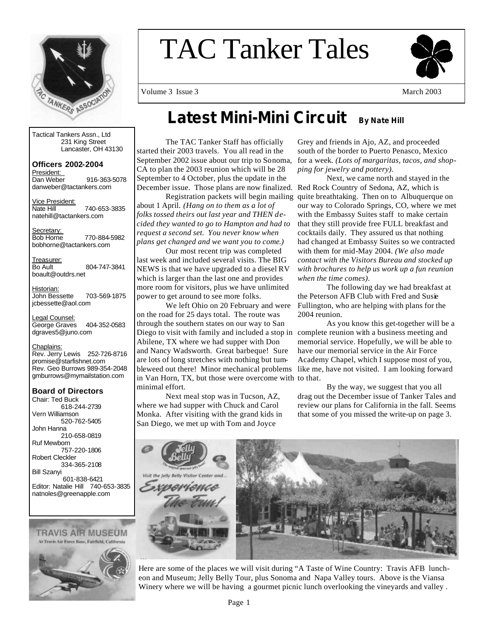

# TAC Tanker Tales



Volume 3 Issue 3  $\mu$ 

Tactical Tankers Assn., Ltd 231 King Street Lancaster, OH 43130

**Officers 2002-2004**  President: Dan Weber 916-363-5078 danweber@tactankers.com

Vice President:<br>Nate Hill 740-653-3835 natehill@tactankers.com

Secretary:<br>Bob Horne Bob Horne 770-884-5982 bobhorne@tactankers.com

Treasurer:<br>Bo Ault 804-747-3841 boault@outdrs.net

Historian: John Bessette 703-569-1875 jcbessette@aol.com

Legal Counsel: George Graves 404-352-0583 dgraves5@juno.com

Chaplains: Rev. Jerry Lewis 252-726-8716 promise@starfishnet.com Rev. Geo Burrows 989-354-2048 gmburrows@mymailstation.com

**Board of Directors**  Chair: Ted Buck 618-244-2739 Vern Williamson 520-762-5405 John Hanna 210-658-0819 Ruf Mewborn 757-220-1806 Robert Cleckler 334-365-2108 Bill Szanyi 601-838-6421 Editor: Natalie Hill 740-653-3835 natnoles@greenapple.com

**TRAVIS AIR MUSEUM** At Travis Air Force Base, Fairfield, California



# **Latest Mini-Mini Circuit** By Nate Hill

 The TAC Tanker Staff has officially started their 2003 travels. You all read in the September 2002 issue about our trip to Sonoma, CA to plan the 2003 reunion which will be 28 September to 4 October, plus the update in the December issue. Those plans are now finalized. Red Rock Country of Sedona, AZ, which is

 Registration packets will begin mailing about 1 April. *(Hang on to them as a lot of folks tossed theirs out last year and THEN decided they wanted to go to Hampton and had to request a second set. You never know when plans get changed and we want you to come.)*

Our most recent trip was completed last week and included several visits. The BIG NEWS is that we have upgraded to a diesel RV which is larger than the last one and provides more room for visitors, plus we have unlimited power to get around to see more folks.

 We left Ohio on 20 February and were on the road for 25 days total. The route was through the southern states on our way to San Diego to visit with family and included a stop in complete reunion with a business meeting and Abilene, TX where we had supper with Don and Nancy Wadsworth. Great barbeque! Sure are lots of long stretches with nothing but tumin Van Horn, TX, but those were overcome with to that. minimal effort.

 Next meal stop was in Tucson, AZ, where we had supper with Chuck and Carol Monka. After visiting with the grand kids in San Diego, we met up with Tom and Joyce

Grey and friends in Ajo, AZ, and proceeded south of the border to Puerto Penasco, Mexico for a week*. (Lots of margaritas, tacos, and shopping for jewelry and pottery).*

 Next, we came north and stayed in the quite breathtaking. Then on to Albuquerque on our way to Colorado Springs, CO, where we met with the Embassy Suites staff to make certain that they still provide free FULL breakfast and cocktails daily. They assured us that nothing had changed at Embassy Suites so we contracted with them for mid-May 2004. *(We also made contact with the Visitors Bureau and stocked up with brochures to help us work up a fun reunion when the time comes).* 

The following day we had breakfast at the Peterson AFB Club with Fred and Susie Fullington, who are helping with plans for the 2004 reunion.

bleweed out there! Minor mechanical problems like me, have not visited. I am looking forward As you know this get-together will be a memorial service. Hopefully, we will be able to have our memorial service in the Air Force Academy Chapel, which I suppose most of you,

> By the way, we suggest that you all drag out the December issue of Tanker Tales and review our plans for California in the fall. Seems that some of you missed the write-up on page 3.



Here are some of the places we will visit during "A Taste of Wine Country: Travis AFB luncheon and Museum; Jelly Belly Tour, plus Sonoma and Napa Valley tours. Above is the Viansa Winery where we will be having a gourmet picnic lunch overlooking the vineyards and valley.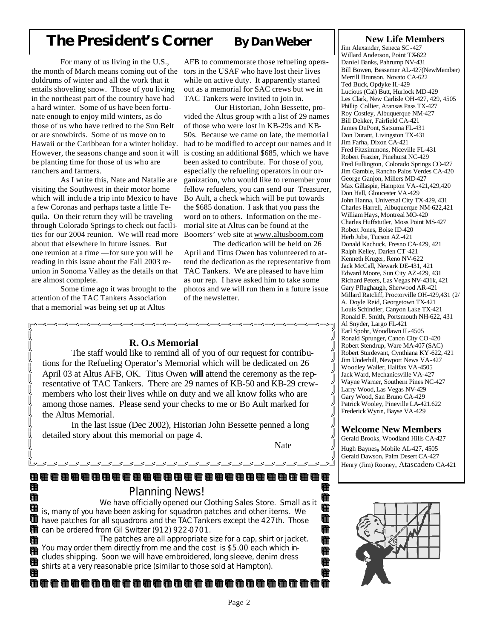# **The President's Corner By Dan Weber**

 For many of us living in the U.S., the month of March means coming out of the doldrums of winter and all the work that it entails shoveling snow. Those of you living in the northeast part of the country have had a hard winter. Some of us have been fortunate enough to enjoy mild winters, as do those of us who have retired to the Sun Belt or are snowbirds. Some of us move on to Hawaii or the Caribbean for a winter holiday. However, the seasons change and soon it will be planting time for those of us who are ranchers and farmers.

 As I write this, Nate and Natalie are visiting the Southwest in their motor home which will include a trip into Mexico to have a few Coronas and perhaps taste a little Tequila. On their return they will be traveling through Colorado Springs to check out facilities for our 2004 reunion. We will read more about that elsewhere in future issues. But one reunion at a time —for sure you will be reading in this issue about the Fall 2003 reunion in Sonoma Valley as the details on that are almost complete.

 Some time ago it was brought to the attention of the TAC Tankers Association that a memorial was being set up at Altus

Œ

#### AFB to commemorate those refueling operators in the USAF who have lost their lives while on active duty. It apparently started out as a memorial for SAC crews but we in

TAC Tankers were invited to join in. Our Historian, John Bessette, provided the Altus group with a list of 29 names of those who were lost in KB-29s and KB-50s. Because we came on late, the memoria l had to be modified to accept our names and it is costing an additional \$685, which we have been asked to contribute. For those of you, especially the refueling operators in our organization, who would like to remember your fellow refuelers, you can send our Treasurer, Bo Ault, a check which will be put towards the \$685 donation. I ask that you pass the word on to others. Information on the memorial site at Altus can be found at the Boomers' web site at www.altusboom.com

 The dedication will be held on 26 April and Titus Owen has volunteered to attend the dedication as the representative from TAC Tankers. We are pleased to have him as our rep. I have asked him to take some photos and we will run them in a future issue of the newsletter.

#### **New Life Members**

Jim Alexander, Seneca SC-427 Willard Anderson, Point TX-622 Daniel Banks, Pahrump NV-431 Bill Bowen, Bessemer AL-427(NewMember) Merrill Brunson, Novato CA-622 Ted Buck, Opdyke IL-429 Lucious (Cal) Butt, Hurlock MD-429 Les Clark, New Carlisle OH-427, 429, 4505 Phillip Collier, Aransas Pass TX-427 Roy Costley, Albuquerque NM-427 Bill Dekker, Fairfield CA-421 James DuPont, Satsuma FL-431 Don Durant, Livingston TX-431 Jim Farha, Dixon CA-421 Fred Fitzsimmons, Niceville FL-431 Robert Frazier, Pinehurst NC-429 Fred Fullington, Colorado Springs CO-427 Jim Gamble, Rancho Palos Verdes CA-420 George Ganjon, Millers MD-427 Max Gillaspie, Hampton VA-421,429,420 Don Hall, Gloucester VA-429 John Hanna, Universal City TX-429, 431 Charles Harrell, Albuquerque NM-622,421 William Hays, Montreal MO-420 Charles Huffstutler, Moss Point MS-427 Robert Jones, Boise ID-420 Herb Jube, Tucson AZ-421 Donald Kachuck, Fresno CA-429, 421 Ralph Kelley, Darien CT -421 Kenneth Kruger, Reno NV-622 Jack McCall, Newark DE-431, 421 Edward Moore, Sun City AZ-429, 431 Richard Peters, Las Vegas NV-431k, 421 Gary Pflughaugh, Sherwood AR-421 Millard Ratcliff, Proctorville OH-429,431 (2/ A. Doyle Reid, Georgetown TX-421 Louis Schindler, Canyon Lake TX-421 Ronald F. Smith, Portsmouth NH-622, 431 Al Snyder, Largo FL-421 Earl Spohr, Woodlawn IL-4505 Ronald Sprunger, Canon City CO-420 Robert Stendrup, Ware MA-407 (SAC) Robert Sturdevant, Cynthiana KY-622, 421 Jim Underhill, Newport News VA-427 Woodley Waller, Halifax VA-4505 Jack Ward, Mechanicsville VA-427 Wayne Warner, Southern Pines NC-427 Larry Wood, Las Vegas NV-429 Gary Wood, San Bruno CA-429 Patrick Wooley, Pineville LA-421.622 Frederick Wynn, Bayse VA-429

#### **Welcome New Members**

Gerald Brooks, Woodland Hills CA**-**427 Hugh Baynes**,** Mobile AL-427, 4505 Gerald Dawson, Palm Desert CA-427 Henry (Jim) Rooney, Atascadero CA-421



## **R. O.s Memorial**

 The staff would like to remind all of you of our request for contributions for the Refueling Operator's Memorial which will be dedicated on 26 April 03 at Altus AFB, OK. Titus Owen **will** attend the ceremony as the representative of TAC Tankers. There are 29 names of KB-50 and KB-29 crewmembers who lost their lives while on duty and we all know folks who are among those names. Please send your checks to me or Bo Ault marked for the Altus Memorial.

.<br>コンコース コース コース コース コース コース コース コースコ

 In the last issue (Dec 2002), Historian John Bessette penned a long detailed story about this memorial on page 4.

Nate **National State** Service State State State State State State State State State State State State State State State State State State State State State State State State State State State State State State State State

T, ļ,

> J J J J ļ, Ŋ ļ ļ,

Œ G œ œ

由 Œ 由

#### G

## Planning News!

<u> 2002 - 2003 - 2003 - 2003 - 20</u>

晤 We have officially opened our Clothing Sales Store. Small as it is, many of you have been asking for squadron patches and other items. We have patches for all squadrons and the TAC Tankers except the 427th. Those Æ can be ordered from Gil Switzer (912) 922-0701.

 The patches are all appropriate size for a cap, shirt or jacket. You may order them directly from me and the cost is \$5.00 each which includes shipping. Soon we will have embroidered, long sleeve, denim dress shirts at a very reasonable price (similar to those sold at Hampton).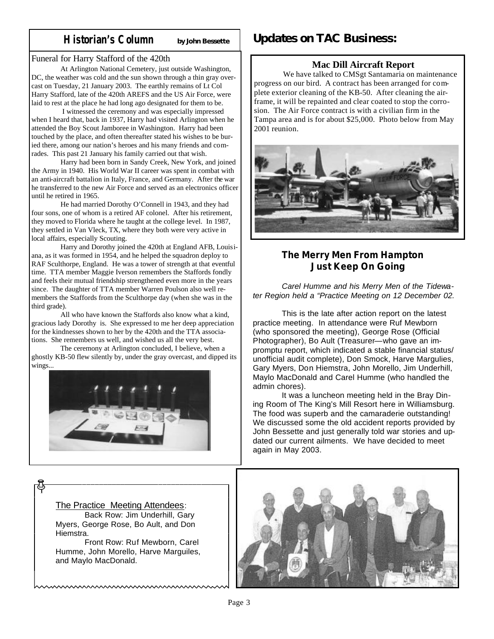## **Historian's Column by John Bessette**

#### Funeral for Harry Stafford of the 420th

 At Arlington National Cemetery, just outside Washington, DC, the weather was cold and the sun shown through a thin gray overcast on Tuesday, 21 January 2003. The earthly remains of Lt Col Harry Stafford, late of the 420th AREFS and the US Air Force, were laid to rest at the place he had long ago designated for them to be.

 I witnessed the ceremony and was especially impressed when I heard that, back in 1937, Harry had visited Arlington when he attended the Boy Scout Jamboree in Washington. Harry had been touched by the place, and often thereafter stated his wishes to be buried there, among our nation's heroes and his many friends and comrades. This past 21 January his family carried out that wish.

 Harry had been born in Sandy Creek, New York, and joined the Army in 1940. His World War II career was spent in combat with an anti-aircraft battalion in Italy, France, and Germany. After the war he transferred to the new Air Force and served as an electronics officer until he retired in 1965.

 He had married Dorothy O'Connell in 1943, and they had four sons, one of whom is a retired AF colonel. After his retirement, they moved to Florida where he taught at the college level. In 1987, they settled in Van Vleck, TX, where they both were very active in local affairs, especially Scouting.

 Harry and Dorothy joined the 420th at England AFB, Louisiana, as it was formed in 1954, and he helped the squadron deploy to RAF Sculthorpe, England. He was a tower of strength at that eventful time. TTA member Maggie Iverson remembers the Staffords fondly and feels their mutual friendship strengthened even more in the years since. The daughter of TTA member Warren Poulson also well remembers the Staffords from the Sculthorpe day (when she was in the third grade).

 All who have known the Staffords also know what a kind, gracious lady Dorothy is. She expressed to me her deep appreciation for the kindnesses shown to her by the 420th and the TTA associations. She remembers us well, and wished us all the very best.

 The ceremony at Arlington concluded, I believe, when a ghostly KB-50 flew silently by, under the gray overcast, and dipped its wings...



# **Updates on TAC Business:**

### **Mac Dill Aircraft Report**

We have talked to CMSgt Santamaria on maintenance progress on our bird. A contract has been arranged for complete exterior cleaning of the KB-50. After cleaning the airframe, it will be repainted and clear coated to stop the corrosion. The Air Force contract is with a civilian firm in the Tampa area and is for about \$25,000. Photo below from May 2001 reunion.



## **The Merry Men From Hampton Just Keep On Going**

*Carel Humme and his Merry Men of the Tidewater Region held a "Practice Meeting on 12 December 02.* 

This is the late after action report on the latest practice meeting. In attendance were Ruf Mewborn (who sponsored the meeting), George Rose (Official Photographer), Bo Ault (Treasurer—who gave an impromptu report, which indicated a stable financial status/ unofficial audit complete), Don Smock, Harve Margulies, Gary Myers, Don Hiemstra, John Morello, Jim Underhill, Maylo MacDonald and Carel Humme (who handled the admin chores).

 It was a luncheon meeting held in the Bray Dining Room of The King's Mill Resort here in Williamsburg. The food was superb and the camaraderie outstanding! We discussed some the old accident reports provided by John Bessette and just generally told war stories and updated our current ailments. We have decided to meet again in May 2003.



#### The Practice Meeting Attendees:

 Back Row: Jim Underhill, Gary Myers, George Rose, Bo Ault, and Don Hiemstra.

 Front Row: Ruf Mewborn, Carel Humme, John Morello, Harve Marguiles, and Maylo MacDonald.

<u>www.www.www.www.www.ww</u>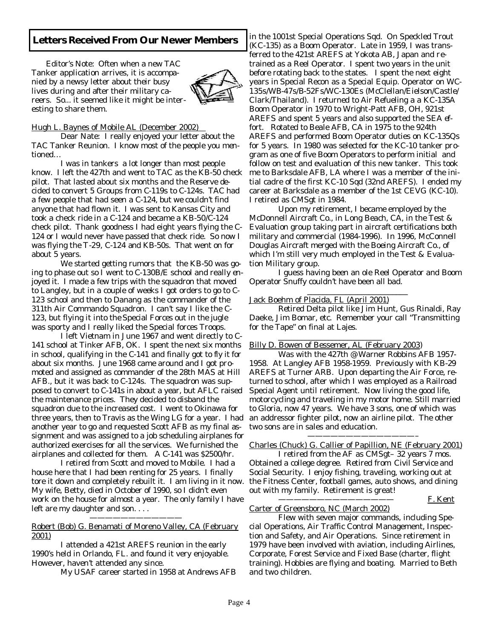## **Letters Received From Our Newer Members**

Editor's Note: Often when a new TAC Tanker application arrives, it is accompanied by a newsy letter about their busy lives during and after their military careers. So... it seemed like it might be interesting to share them.



#### Hugh L. Baynes of Mobile AL (December 2002)

 Dear Nate: I really enjoyed your letter about the TAC Tanker Reunion. I know most of the people you mentioned…

 I was in tankers a lot longer than most people know. I left the 427th and went to TAC as the KB-50 check pilot. That lasted about six months and the Reserve decided to convert 5 Groups from C-119s to C-124s. TAC had a few people that had seen a C-124, but we couldn't find anyone that had flown it. I was sent to Kansas City and took a check ride in a C-124 and became a KB-50/C-124 check pilot. Thank goodness I had eight years flying the C-124 or I would never have passed that check ride. So now I was flying the T-29, C-124 and KB-50s. That went on for about 5 years.

 We started getting rumors that the KB-50 was going to phase out so I went to C-130B/E school and really enjoyed it. I made a few trips with the squadron that moved to Langley, but in a couple of weeks I got orders to go to C-123 school and then to Danang as the commander of the 311th Air Commando Squadron. I can't say I like the C-123, but flying it into the Special Forces out in the jugle was sporty and I really liked the Special forces Troops.

 I left Vietnam in June 1967 and went directly to C-141 school at Tinker AFB, OK. I spent the next six months in school, qualifying in the C-141 and finally got to fly it for about six months. June 1968 came around and I got promoted and assigned as commander of the 28th MAS at Hill AFB., but it was back to C-124s. The squadron was supposed to convert to C-141s in about a year, but AFLC raised the maintenance prices. They decided to disband the squadron due to the increased cost. I went to Okinawa for three years, then to Travis as the Wing LG for a year. I had another year to go and requested Scott AFB as my final assignment and was assigned to a job scheduling airplanes for authorized exercises for all the services. We furnished the airplanes and collected for them. A C-141 was \$2500/hr.

 I retired from Scott and moved to Mobile. I had a house here that I had been renting for 25 years. I finally tore it down and completely rebuilt it. I am living in it now. My wife, Betty, died in October of 1990, so I didn't even work on the house for almost a year. The only family I have left are my daughter and son. . . .

Robert (Bob) G. Benamati of Moreno Valley, CA (February 2001)

————————————

 I attended a 421st AREFS reunion in the early 1990's held in Orlando, FL. and found it very enjoyable. However, haven't attended any since.

My USAF career started in 1958 at Andrews AFB

in the 1001st Special Operations Sqd. On Speckled Trout (KC-135) as a Boom Operator. Late in 1959, I was transferred to the 421st AREFS at Yokota AB, Japan and retrained as a Reel Operator. I spent two years in the unit before rotating back to the states. I spent the next eight years in Special Recon as a Special Equip. Operator on WC-135s/WB-47s/B-52Fs/WC-130Es (McClellan/Eielson/Castle/ Clark/Thailand). I returned to Air Refueling a a KC-135A Boom Operator in 1970 to Wright-Patt AFB, OH, 921st AREFS and spent 5 years and also supported the SEA effort. Rotated to Beale AFB, CA in 1975 to the 924th AREFS and performed Boom Operator duties on KC-135Qs for 5 years. In 1980 was selected for the KC-10 tanker program as one of five Boom Operators to perform initial and follow on test and evaluation of this new tanker. This took me to Barksdale AFB, LA where I was a member of the initial cadre of the first KC-10 Sqd (32nd AREFS). I ended my career at Barksdale as a member of the 1st CEVG (KC-10). I retired as CMSgt in 1984.

 Upon my retirement, I became employed by the McDonnell Aircraft Co., in Long Beach, CA, in the Test & Evaluation group taking part in aircraft certifications both military and commercial (1984-1996). In 1996, McConnell Douglas Aircraft merged with the Boeing Aircraft Co., of which I'm still very much employed in the Test & Evaluation Military group.

 I guess having been an ole Reel Operator and Boom Operator Snuffy couldn't have been all bad.

#### Jack Boehm of Placida, FL (April 2001)

 $\mathcal{L}_\text{max} = \frac{1}{2} \sum_{i=1}^{n} \frac{1}{2} \sum_{i=1}^{n} \frac{1}{2} \sum_{i=1}^{n} \frac{1}{2} \sum_{i=1}^{n} \frac{1}{2} \sum_{i=1}^{n} \frac{1}{2} \sum_{i=1}^{n} \frac{1}{2} \sum_{i=1}^{n} \frac{1}{2} \sum_{i=1}^{n} \frac{1}{2} \sum_{i=1}^{n} \frac{1}{2} \sum_{i=1}^{n} \frac{1}{2} \sum_{i=1}^{n} \frac{1}{2} \sum_{i=1}^{n} \frac{1$ 

 $\frac{1}{2}$  , and the set of the set of the set of the set of the set of the set of the set of the set of the set of the set of the set of the set of the set of the set of the set of the set of the set of the set of the set

 Retired Delta pilot like Jim Hunt, Gus Rinaldi, Ray Daeke, Jim Bomar, etc. Remember your call "Transmitting for the Tape" on final at Lajes.

#### Billy D. Bowen of Bessemer, AL (February 2003)

——————————————–

 Was with the 427th @ Warner Robbins AFB 1957- 1958. At Langley AFB 1958-1959. Previously with KB-29 AREFS at Turner ARB. Upon departing the Air Force, returned to school, after which I was employed as a Railroad Special Agent until retirement. Now living the good life, motorcycling and traveling in my motor home. Still married to Gloria, now 47 years. We have 3 sons, one of which was an addressor fighter pilot, now an airline pilot. The other two sons are in sales and education.

Charles (Chuck) G. Callier of Papillion, NE (February 2001)

 I retired from the AF as CMSgt– 32 years 7 mos. Obtained a college degree. Retired from Civil Service and Social Security. I enjoy fishing, traveling, working out at the Fitness Center, football games, auto shows, and dining out with my family. Retirement is great!

F. Kent

#### Carter of Greensboro, NC (March 2002)

 Flew with seven major commands, including Special Operations, Air Traffic Control Management, Inspection and Safety, and Air Operations. Since retirement in 1979 have been involved with aviation, including Airlines, Corporate, Forest Service and Fixed Base (charter, flight training). Hobbies are flying and boating. Married to Beth and two children.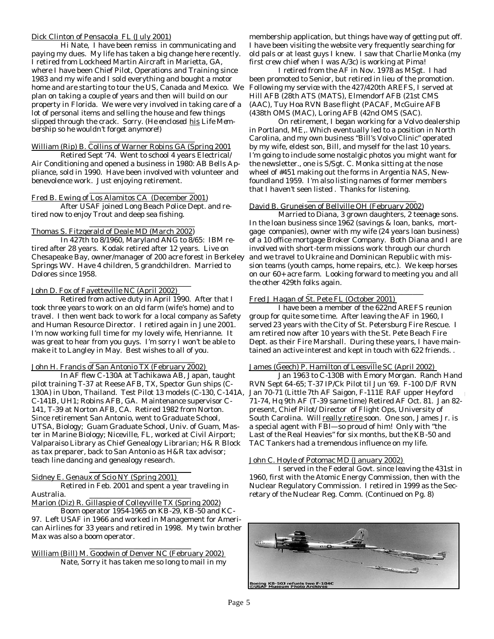#### Dick Clinton of Pensacola FL (July 2001)

 Hi Nate, I have been remiss in communicating and paying my dues. My life has taken a big change here recently. I retired from Lockheed Martin Aircraft in Marietta, GA, where I have been Chief Pilot, Operations and Training since 1983 and my wife and I sold everything and bought a motor home and are starting to tour the US, Canada and Mexico. We plan on taking a couple of years and then will build on our property in Florida. We were very involved in taking care of a lot of personal items and selling the house and few things slipped through the crack. Sorry. *(He enclosed* his *Life Membership so he wouldn't forget anymore!)*

#### William (Rip) B. Collins of Warner Robins GA (Spring 2001

 Retired Sept '74. Went to school 4 years Electrical/ Air Conditioning and opened a business in 1980: AB Bells Appliance, sold in 1990. Have been involved with volunteer and benevolence work. Just enjoying retirement.

#### $\overline{\phantom{a}}$  ,  $\overline{\phantom{a}}$  ,  $\overline{\phantom{a}}$  ,  $\overline{\phantom{a}}$  ,  $\overline{\phantom{a}}$  ,  $\overline{\phantom{a}}$  ,  $\overline{\phantom{a}}$  ,  $\overline{\phantom{a}}$  ,  $\overline{\phantom{a}}$  ,  $\overline{\phantom{a}}$  ,  $\overline{\phantom{a}}$  ,  $\overline{\phantom{a}}$  ,  $\overline{\phantom{a}}$  ,  $\overline{\phantom{a}}$  ,  $\overline{\phantom{a}}$  ,  $\overline{\phantom{a}}$ Fred B. Ewing of Los Alamitos CA (December 2001)

 $\overline{\phantom{a}}$  ,  $\overline{\phantom{a}}$  ,  $\overline{\phantom{a}}$  ,  $\overline{\phantom{a}}$  ,  $\overline{\phantom{a}}$  ,  $\overline{\phantom{a}}$  ,  $\overline{\phantom{a}}$  ,  $\overline{\phantom{a}}$  ,  $\overline{\phantom{a}}$  ,  $\overline{\phantom{a}}$  ,  $\overline{\phantom{a}}$  ,  $\overline{\phantom{a}}$  ,  $\overline{\phantom{a}}$  ,  $\overline{\phantom{a}}$  ,  $\overline{\phantom{a}}$  ,  $\overline{\phantom{a}}$ 

 After USAF joined Long Beach Police Dept. and retired now to enjoy Trout and deep sea fishing.

#### $\overline{\phantom{a}}$  ,  $\overline{\phantom{a}}$  ,  $\overline{\phantom{a}}$  ,  $\overline{\phantom{a}}$  ,  $\overline{\phantom{a}}$  ,  $\overline{\phantom{a}}$  ,  $\overline{\phantom{a}}$  ,  $\overline{\phantom{a}}$  ,  $\overline{\phantom{a}}$  ,  $\overline{\phantom{a}}$  ,  $\overline{\phantom{a}}$  ,  $\overline{\phantom{a}}$  ,  $\overline{\phantom{a}}$  ,  $\overline{\phantom{a}}$  ,  $\overline{\phantom{a}}$  ,  $\overline{\phantom{a}}$ Thomas S. Fitzgerald of Deale MD (March 2002)

 In 427th to 8/1960, Maryland ANG to 8/65: IBM retired after 28 years. Kodak retired after 12 years. Live on Chesapeake Bay, owner/manager of 200 acre forest in Berkeley Springs WV. Have 4 children, 5 grandchildren. Married to Dolores since 1958.

#### John D. Fox of Fayetteville NC (April 2002)

 $\overline{\phantom{a}}$  ,  $\overline{\phantom{a}}$  ,  $\overline{\phantom{a}}$  ,  $\overline{\phantom{a}}$  ,  $\overline{\phantom{a}}$  ,  $\overline{\phantom{a}}$  ,  $\overline{\phantom{a}}$  ,  $\overline{\phantom{a}}$  ,  $\overline{\phantom{a}}$  ,  $\overline{\phantom{a}}$  ,  $\overline{\phantom{a}}$  ,  $\overline{\phantom{a}}$  ,  $\overline{\phantom{a}}$  ,  $\overline{\phantom{a}}$  ,  $\overline{\phantom{a}}$  ,  $\overline{\phantom{a}}$ 

 Retired from active duty in April 1990. After that I took three years to work on an old farm (wife's home) and to travel. I then went back to work for a local company as Safety and Human Resource Director. I retired again in June 2001. I'm now working full time for my lovely wife, Henrianne. It was great to hear from you guys. I'm sorry I won't be able to make it to Langley in May. Best wishes to all of you.

#### $\overline{\phantom{a}}$  ,  $\overline{\phantom{a}}$  ,  $\overline{\phantom{a}}$  ,  $\overline{\phantom{a}}$  ,  $\overline{\phantom{a}}$  ,  $\overline{\phantom{a}}$  ,  $\overline{\phantom{a}}$  ,  $\overline{\phantom{a}}$  ,  $\overline{\phantom{a}}$  ,  $\overline{\phantom{a}}$  ,  $\overline{\phantom{a}}$  ,  $\overline{\phantom{a}}$  ,  $\overline{\phantom{a}}$  ,  $\overline{\phantom{a}}$  ,  $\overline{\phantom{a}}$  ,  $\overline{\phantom{a}}$ John H. Francis of San Antonio TX (February 2002)

 In AF flew C-130A at Tachikawa AB, Japan, taught pilot training T-37 at Reese AFB, TX, Spector Gun ships (C-130A) in Ubon, Thailand. Test Pilot 13 models (C-130, C-141A, C-141B, UH1; Robins AFB, GA. Maintenance supervisor C-141, T-39 at Norton AFB, CA. Retired 1982 from Norton. Since retirement San Antonio, went to Graduate School, UTSA, Biology; Guam Graduate School, Univ. of Guam, Master in Marine Biology; Niceville, FL, worked at Civil Airport; Valparaiso Library as Chief Genealogy Librarian; H& R Block as tax preparer, back to San Antonio as H&R tax advisor; teach line dancing and genealogy research.

#### $\mathcal{L}_\text{max} = \mathcal{L}_\text{max} = \frac{1}{2} \sum_{i=1}^{n} \frac{1}{2} \sum_{i=1}^{n} \frac{1}{2} \sum_{i=1}^{n} \frac{1}{2} \sum_{i=1}^{n} \frac{1}{2} \sum_{i=1}^{n} \frac{1}{2} \sum_{i=1}^{n} \frac{1}{2} \sum_{i=1}^{n} \frac{1}{2} \sum_{i=1}^{n} \frac{1}{2} \sum_{i=1}^{n} \frac{1}{2} \sum_{i=1}^{n} \frac{1}{2} \sum_{i=1}^{n} \frac{1}{2} \sum$ Sidney E. Genaux of Scio NY (Spring 2001)

 Retired in Feb. 2001 and spent a year traveling in Australia.

Marion (Diz) R. Gillaspie of Colleyville TX (Spring 2002)

 Boom operator 1954-1965 on KB-29, KB-50 and KC-97. Left USAF in 1966 and worked in Management for American Airlines for 33 years and retired in 1998. My twin brother Max was also a boom operator.

William (Bill) M. Goodwin of Denver NC (February 2002) Nate, Sorry it has taken me so long to mail in my

 $\overline{\phantom{a}}$  ,  $\overline{\phantom{a}}$  ,  $\overline{\phantom{a}}$  ,  $\overline{\phantom{a}}$  ,  $\overline{\phantom{a}}$  ,  $\overline{\phantom{a}}$  ,  $\overline{\phantom{a}}$  ,  $\overline{\phantom{a}}$  ,  $\overline{\phantom{a}}$  ,  $\overline{\phantom{a}}$  ,  $\overline{\phantom{a}}$  ,  $\overline{\phantom{a}}$  ,  $\overline{\phantom{a}}$  ,  $\overline{\phantom{a}}$  ,  $\overline{\phantom{a}}$  ,  $\overline{\phantom{a}}$ 

membership application, but things have way of getting put off. I have been visiting the website very frequently searching for old pals or at least guys I knew. I saw that Charlie Monka (my first crew chief when I was A/3c) is working at Pima!

 I retired from the AF in Nov. 1978 as MSgt. I had been promoted to Senior, but retired in lieu of the promotion. Following my service with the 427/420th AREFS, I served at Hill AFB (28th ATS (MATS), Elmendorf AFB (21st CMS (AAC), Tuy Hoa RVN Base flight (PACAF, McGuire AFB (438th OMS (MAC), Loring AFB (42nd OMS (SAC).

 On retirement, I began working for a Volvo dealership in Portland, ME,. Which eventually led to a position in North Carolina, and my own business "Bill's Volvo Clinic" operated by my wife, eldest son, Bill, and myself for the last 10 years. I'm going to include some nostalgic photos you might want for the newsletter., one is S/Sgt. C. Monka sitting at the nose wheel of #451 making out the forms in Argentia NAS, Newfoundland 1959. I'm also listing names of former members that I haven't seen listed . Thanks for listening.

#### $\overline{\phantom{a}}$  ,  $\overline{\phantom{a}}$  ,  $\overline{\phantom{a}}$  ,  $\overline{\phantom{a}}$  ,  $\overline{\phantom{a}}$  ,  $\overline{\phantom{a}}$  ,  $\overline{\phantom{a}}$  ,  $\overline{\phantom{a}}$  ,  $\overline{\phantom{a}}$  ,  $\overline{\phantom{a}}$  ,  $\overline{\phantom{a}}$  ,  $\overline{\phantom{a}}$  ,  $\overline{\phantom{a}}$  ,  $\overline{\phantom{a}}$  ,  $\overline{\phantom{a}}$  ,  $\overline{\phantom{a}}$ David B. Gruneisen of Bellville OH (February 2002)

 Married to Diana, 3 grown daughters, 2 teenage sons. In the loan business since 1962 (savings & loan, banks, mortgage companies), owner with my wife (24 years loan business) of a 10 office mortgage Broker Company. Both Diana and I are involved with short-term missions work through our church and we travel to Ukraine and Dominican Republic with mission teams (youth camps, home repairs, etc.). We keep horses on our 60+ acre farm. Looking forward to meeting you and all the other 429th folks again.

#### Fred J Hagan of St. Pete FL (October 2001)

 $\overline{\phantom{a}}$  ,  $\overline{\phantom{a}}$  ,  $\overline{\phantom{a}}$  ,  $\overline{\phantom{a}}$  ,  $\overline{\phantom{a}}$  ,  $\overline{\phantom{a}}$  ,  $\overline{\phantom{a}}$  ,  $\overline{\phantom{a}}$  ,  $\overline{\phantom{a}}$  ,  $\overline{\phantom{a}}$  ,  $\overline{\phantom{a}}$  ,  $\overline{\phantom{a}}$  ,  $\overline{\phantom{a}}$  ,  $\overline{\phantom{a}}$  ,  $\overline{\phantom{a}}$  ,  $\overline{\phantom{a}}$ 

 $\overline{\phantom{a}}$  ,  $\overline{\phantom{a}}$  ,  $\overline{\phantom{a}}$  ,  $\overline{\phantom{a}}$  ,  $\overline{\phantom{a}}$  ,  $\overline{\phantom{a}}$  ,  $\overline{\phantom{a}}$  ,  $\overline{\phantom{a}}$  ,  $\overline{\phantom{a}}$  ,  $\overline{\phantom{a}}$  ,  $\overline{\phantom{a}}$  ,  $\overline{\phantom{a}}$  ,  $\overline{\phantom{a}}$  ,  $\overline{\phantom{a}}$  ,  $\overline{\phantom{a}}$  ,  $\overline{\phantom{a}}$ 

 I have been a member of the 622nd AREFS reunion group for quite some time. After leaving the AF in 1960, I served 23 years with the City of St. Petersburg Fire Rescue. I am retired now after 10 years with the St. Pete Beach Fire Dept. as their Fire Marshall. During these years, I have maintained an active interest and kept in touch with 622 friends. .

#### James (Geech) P. Hamilton of Leesville SC (April 2002)

 Jan 1963 to C-130B with Emory Morgan. Ranch Hand RVN Sept 64-65; T-37 IP/Ck Pilot til Jun '69. F-100 D/F RVN Jan 70-71 (Little 7th AF Saigon, F-111E RAF upper Heyford 71-74, Hq 9th AF (T-39 same time) Retired AF Oct. 81. Jan 82 present, Chief Pilot/ Director of Flight Ops, University of South Carolina. Will really retire soon. One son, James Jr. is a special agent with FBI—so proud of him! Only with "the Last of the Real Heavies" for six months, but the KB-50 and TAC Tankers had a tremendous influence on my life.

#### $\frac{1}{2}$  ,  $\frac{1}{2}$  ,  $\frac{1}{2}$  ,  $\frac{1}{2}$  ,  $\frac{1}{2}$  ,  $\frac{1}{2}$  ,  $\frac{1}{2}$  ,  $\frac{1}{2}$  ,  $\frac{1}{2}$  ,  $\frac{1}{2}$  ,  $\frac{1}{2}$  ,  $\frac{1}{2}$  ,  $\frac{1}{2}$  ,  $\frac{1}{2}$  ,  $\frac{1}{2}$  ,  $\frac{1}{2}$  ,  $\frac{1}{2}$  ,  $\frac{1}{2}$  ,  $\frac{1$ John C. Hoyle of Potomac MD (January 2002)

 I served in the Federal Govt. since leaving the 431st in 1960, first with the Atomic Energy Commission, then with the Nuclear Regulatory Commission. I retired in 1999 as the Secretary of the Nuclear Reg. Comm. (Continued on Pg. 8)

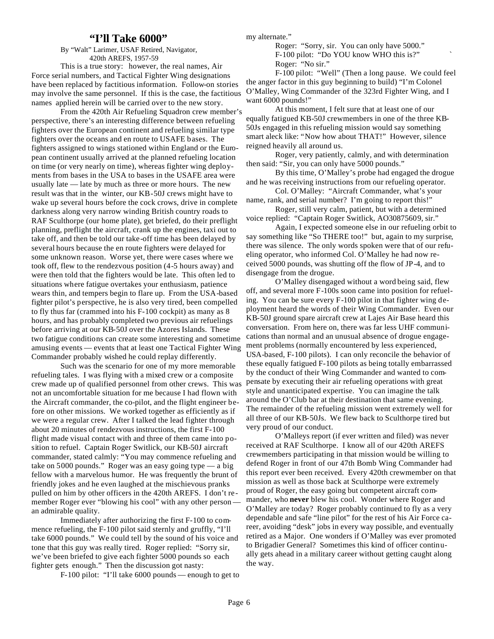#### **"I'll Take 6000"**

By "Walt" Larimer, USAF Retired, Navigator, 420th AREFS, 1957-59

 This is a true story: however, the real names, Air Force serial numbers, and Tactical Fighter Wing designations have been replaced by factitious information. Follow-on stories may involve the same personnel. If this is the case, the factitious names applied herein will be carried over to the new story.

 From the 420th Air Refueling Squadron crew member's perspective, there's an interesting difference between refueling fighters over the European continent and refueling similar type fighters over the oceans and en route to USAFE bases. The fighters assigned to wings stationed within England or the European continent usually arrived at the planned refueling location on time (or very nearly on time), whereas fighter wing deployments from bases in the USA to bases in the USAFE area were usually late — late by much as three or more hours. The new result was that in the winter, our KB-50J crews might have to wake up several hours before the cock crows, drive in complete darkness along very narrow winding British country roads to RAF Sculthorpe (our home plate), get briefed, do their preflight planning, preflight the aircraft, crank up the engines, taxi out to take off, and then be told our take-off time has been delayed by several hours because the en route fighters were delayed for some unknown reason. Worse yet, there were cases where we took off, flew to the rendezvous position (4-5 hours away) and were then told that the fighters would be late. This often led to situations where fatigue overtakes your enthusiasm, patience wears thin, and tempers begin to flare up. From the USA-based fighter pilot's perspective, he is also very tired, been compelled to fly thus far (crammed into his F-100 cockpit) as many as 8 hours, and has probably completed two previous air refuelings before arriving at our KB-50J over the Azores Islands. These two fatigue conditions can create some interesting and sometime amusing events — events that at least one Tactical Fighter Wing Commander probably wished he could replay differently.

 Such was the scenario for one of my more memorable refueling tales. I was flying with a mixed crew or a composite crew made up of qualified personnel from other crews. This was not an uncomfortable situation for me because I had flown with the Aircraft commander, the co-pilot, and the flight engineer before on other missions. We worked together as efficiently as if we were a regular crew. After I talked the lead fighter through about 20 minutes of rendezvous instructions, the first F-100 flight made visual contact with and three of them came into position to refuel. Captain Roger Switlick, our KB-50J aircraft commander, stated calmly: "You may commence refueling and take on 5000 pounds." Roger was an easy going type — a big fellow with a marvelous humor. He was frequently the brunt of friendly jokes and he even laughed at the mischievous pranks pulled on him by other officers in the 420th AREFS. I don't remember Roger ever "blowing his cool" with any other person an admirable quality.

 Immediately after authorizing the first F-100 to commence refueling, the F-100 pilot said sternly and gruffly, "I'll take 6000 pounds." We could tell by the sound of his voice and tone that this guy was really tired. Roger replied: "Sorry sir, we've been briefed to give each fighter 5000 pounds so each fighter gets enough." Then the discussion got nasty:

F-100 pilot: "I'll take 6000 pounds — enough to get to

my alternate."

 Roger: "Sorry, sir. You can only have 5000." F-100 pilot: "Do YOU know WHO this is?" ` Roger: "No sir."

 F-100 pilot: "Well" (Then a long pause. We could feel the anger factor in this guy beginning to build) "I'm Colonel O'Malley, Wing Commander of the 323rd Fighter Wing, and I want 6000 pounds!"

 At this moment, I felt sure that at least one of our equally fatigued KB-50J crewmembers in one of the three KB-50Js engaged in this refueling mission would say something smart aleck like: "Now how about THAT!" However, silence reigned heavily all around us.

 Roger, very patiently, calmly, and with determination then said: "Sir, you can only have 5000 pounds."

 By this time, O'Malley's probe had engaged the drogue and he was receiving instructions from our refueling operator.

 Col. O'Malley: "Aircraft Commander, what's your name, rank, and serial number? I'm going to report this!"

 Roger, still very calm, patient, but with a determined voice replied: "Captain Roger Switlick, AO30875609, sir."

 Again, I expected someone else in our refueling orbit to say something like "So THERE too!" but, again to my surprise, there was silence. The only words spoken were that of our refueling operator, who informed Col. O'Malley he had now received 5000 pounds, was shutting off the flow of JP-4, and to disengage from the drogue.

 O'Malley disengaged without a word being said, flew off, and several more F-100s soon came into position for refueling. You can be sure every F-100 pilot in that fighter wing deployment heard the words of their Wing Commander. Even our KB-50J ground spare aircraft crew at Lajes Air Base heard this conversation. From here on, there was far less UHF communications than normal and an unusual absence of drogue engagement problems (normally encountered by less experienced, USA-based, F-100 pilots). I can only reconcile the behavior of these equally fatigued F-100 pilots as being totally embarrassed by the conduct of their Wing Commander and wanted to compensate by executing their air refueling operations with great style and unanticipated expertise. You can imagine the talk around the O'Club bar at their destination that same evening. The remainder of the refueling mission went extremely well for all three of our KB-50Js. We flew back to Sculthorpe tired but very proud of our conduct.

 O'Malleys report (if ever written and filed) was never received at RAF Sculthorpe. I know all of our 420th AREFS crewmembers participating in that mission would be willing to defend Roger in front of our 47th Bomb Wing Commander had this report ever been received. Every 420th crewmember on that mission as well as those back at Sculthorpe were extremely proud of Roger, the easy going but competent aircraft commander, who **never** blew his cool. Wonder where Roger and O'Malley are today? Roger probably continued to fly as a very dependable and safe "line pilot" for the rest of his Air Force career, avoiding "desk" jobs in every way possible, and eventually retired as a Major. One wonders if O'Malley was ever promoted to Brigadier General? Sometimes this kind of officer continually gets ahead in a military career without getting caught along the way.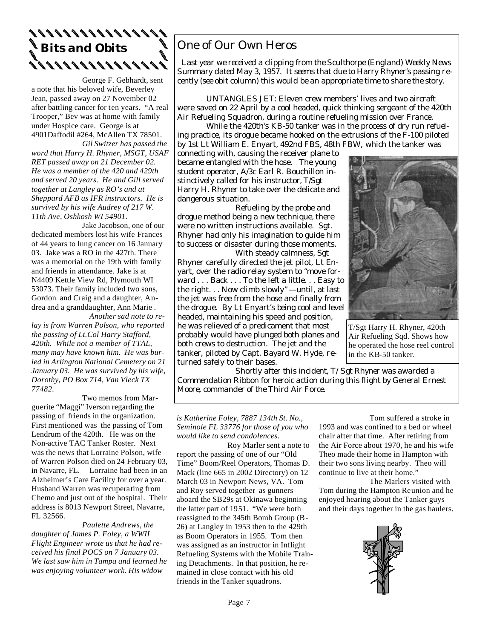# **Bits and Obits**

George F. Gebhardt, sent a note that his beloved wife, Beverley Jean, passed away on 27 November 02 after battling cancer for ten years. "A real Trooper," Bev was at home with family under Hospice care. George is at 4901Daffodil #264, McAllen TX 78501.

 *Gil Switzer has passed the word that Harry H. Rhyner, MSGT, USAF RET passed away on 21 December 02. He was a member of the 420 and 429th and served 20 years. He and Gill served together at Langley as RO's and at Sheppard AFB as IFR instructors. He is survived by his wife Audrey of 217 W. 11th Ave, Oshkosh WI 54901.* 

Jake Jacobson, one of our dedicated members lost his wife Frances of 44 years to lung cancer on 16 January 03. Jake was a RO in the 427th. There was a memorial on the 19th with family and friends in attendance. Jake is at N4409 Kettle View Rd, Plymouth WI 53073. Their family included two sons, Gordon and Craig and a daughter, Andrea and a granddaughter, Ann Marie .  *Another sad note to re-*

*lay is from Warren Polson, who reported the passing of Lt.Col Harry Stafford, 420th. While not a member of TTAL, many may have known him. He was buried in Arlington National Cemetery on 21 January 03. He was survived by his wife, Dorothy, PO Box 714, Van Vleck TX 77482.*

 Two memos from Marguerite "Maggi" Iverson regarding the passing of friends in the organization. First mentioned was the passing of Tom Lendrum of the 420th. He was on the Non-active TAC Tanker Roster. Next was the news that Lorraine Polson, wife of Warren Polson died on 24 February 03, in Navarre, FL. Lorraine had been in an Alzheimer's Care Facility for over a year. Husband Warren was recuperating from Chemo and just out of the hospital. Their address is 8013 Newport Street, Navarre, FL 32566.

 *Paulette Andrews, the daughter of James P. Foley, a WWII Flight Engineer wrote us that he had received his final POCS on 7 January 03. We last saw him in Tampa and learned he was enjoying volunteer work. His widow* 

## One of Our Own Heros

 *Last year we received a clipping from the Sculthorpe (England) Weekly News Summary dated May 3, 1957. It seems that due to Harry Rhyner's passing recently (see obit column) this would be an appropriate time to share the story.* 

UNTANGLES JET: Eleven crew members' lives and two aircraft were saved on 22 April by a cool headed, quick thinking sergeant of the 420th Air Refueling Squadron, during a routine refueling mission over France.

 While the 420th's KB-50 tanker was in the process of dry run refueling practice, its drogue became hooked on the extrusions of the F-100 piloted by 1st Lt William E. Enyart, 492nd FBS, 48th FBW, which the tanker was

connecting with, causing the receiver plane to became entangled with the hose. The young student operator, A/3c Earl R. Bouchillon instinctively called for his instructor, T/Sgt Harry H. Rhyner to take over the delicate and dangerous situation.

 Refueling by the probe and drogue method being a new technique, there were no written instructions available. Sgt. Rhyner had only his imagination to guide him to success or disaster during those moments.

 With steady calmness, Sgt Rhyner carefully directed the jet pilot, Lt Enyart, over the radio relay system to "move forward . . . Back . . . To the left a little. . . Easy to the right. . . Now climb slowly" —until, at last the jet was free from the hose and finally from the drogue. By Lt Enyart's being cool and level headed, maintaining his speed and position, he was relieved of a predicament that most probably would have plunged both planes and both crews to destruction. The jet and the tanker, piloted by Capt. Bayard W. Hyde, returned safely to their bases.



T/Sgt Harry H. Rhyner, 420th Air Refueling Sqd. Shows how he operated the hose reel control in the KB-50 tanker.

 *Shortly after this incident, T/Sgt Rhyner was awarded a Commendation Ribbon for heroic action during this flight by General Ernest Moore, commander of the Third Air Force.*

*is Katherine Foley, 7887 134th St. No., Seminole FL 33776 for those of you who would like to send condolences*.

 Roy Marler sent a note to report the passing of one of our "Old Time" Boom/Reel Operators, Thomas D. Mack (line 665 in 2002 Directory) on 12 March 03 in Newport News, VA. Tom and Roy served together as gunners aboard the SB29s at Okinawa beginning the latter part of 1951. "We were both reassigned to the 345th Bomb Group (B-26) at Langley in 1953 then to the 429th as Boom Operators in 1955. Tom then was assigned as an instructor in Inflight Refueling Systems with the Mobile Training Detachments. In that position, he remained in close contact with his old friends in the Tanker squadrons.

 Tom suffered a stroke in 1993 and was confined to a bed or wheel chair after that time. After retiring from the Air Force about 1970, he and his wife Theo made their home in Hampton with their two sons living nearby. Theo will continue to live at their home."

 The Marlers visited with Tom during the Hampton Reunion and he enjoyed hearing about the Tanker guys and their days together in the gas haulers.